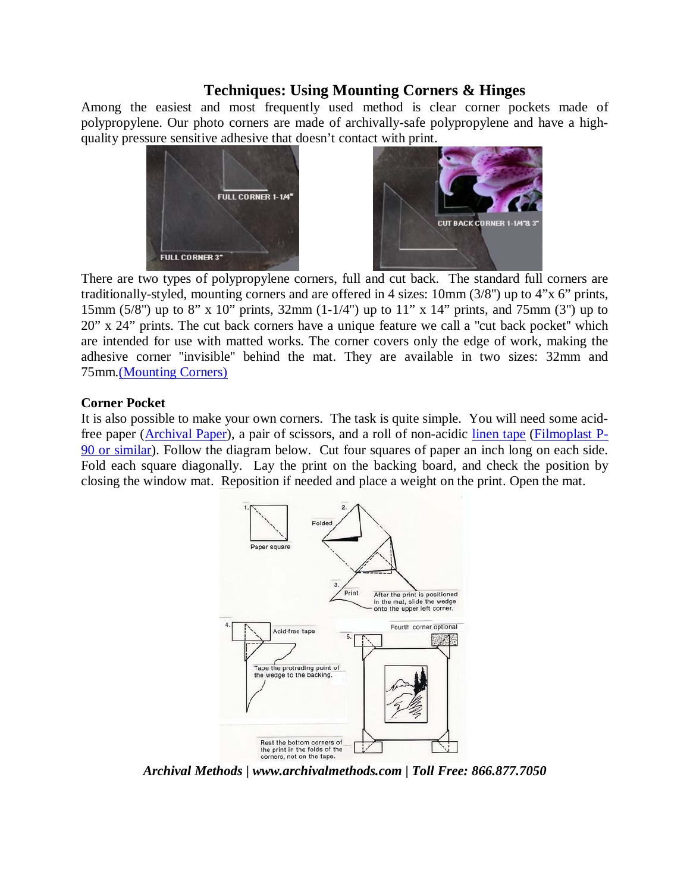# **Techniques: Using Mounting Corners & Hinges**

Among the easiest and most frequently used method is clear corner pockets made of polypropylene. Our photo corners are made of archivally-safe polypropylene and have a highquality pressure sensitive adhesive that doesn't contact with print.



 There are two types of polypropylene corners, full and cut back. The standard full corners are traditionally-styled, mounting corners and are offered in 4 sizes: 10mm (3/8'') up to 4"x 6" prints, 15mm (5/8'') up to 8" x 10" prints, 32mm (1-1/4'') up to 11" x 14" prints, and 75mm (3'') up to 20" x 24" prints. The cut back corners have a unique feature we call a ''cut back pocket'' which are intended for use with matted works. The corner covers only the edge of work, making the adhesive corner ''invisible'' behind the mat. They are available in two sizes: 32mm and 75mm[.\(Mounting Corners\)](http://www.archivalmethods.com/Product.cfm?categoryid=42&Productid=94)

### **Corner Pocket**

It is also possible to make your own corners. The task is quite simple. You will need some acidfree paper [\(Archival Paper\)](http://www.archivalmethods.com/Product.cfm?categoryid=7&Productid=187), a pair of scissors, and a roll of non-acidic [linen tape](http://www.archivalmethods.com/Product.cfm?categoryid=7&Productid=135) [\(Filmoplast P-](http://www.archivalmethods.com/Product.cfm?categoryid=7&Productid=147)[90 or similar\)](http://www.archivalmethods.com/Product.cfm?categoryid=7&Productid=147). Follow the diagram below. Cut four squares of paper an inch long on each side. Fold each square diagonally. Lay the print on the backing board, and check the position by closing the window mat. Reposition if needed and place a weight on the print. Open the mat.



*Archival Methods | www.archivalmethods.com | Toll Free: 866.877.7050*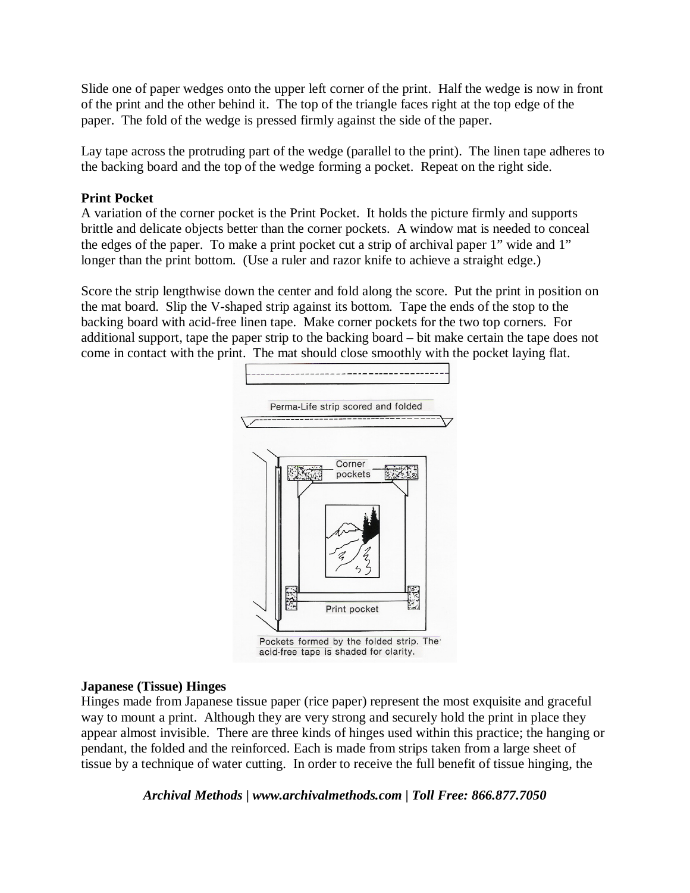Slide one of paper wedges onto the upper left corner of the print. Half the wedge is now in front of the print and the other behind it. The top of the triangle faces right at the top edge of the paper. The fold of the wedge is pressed firmly against the side of the paper.

Lay tape across the protruding part of the wedge (parallel to the print). The linen tape adheres to the backing board and the top of the wedge forming a pocket. Repeat on the right side.

### **Print Pocket**

A variation of the corner pocket is the Print Pocket. It holds the picture firmly and supports brittle and delicate objects better than the corner pockets. A window mat is needed to conceal the edges of the paper. To make a print pocket cut a strip of archival paper 1" wide and 1" longer than the print bottom. (Use a ruler and razor knife to achieve a straight edge.)

Score the strip lengthwise down the center and fold along the score. Put the print in position on the mat board. Slip the V-shaped strip against its bottom. Tape the ends of the stop to the backing board with acid-free linen tape. Make corner pockets for the two top corners. For additional support, tape the paper strip to the backing board – bit make certain the tape does not come in contact with the print. The mat should close smoothly with the pocket laying flat.



#### **Japanese (Tissue) Hinges**

Hinges made from Japanese tissue paper (rice paper) represent the most exquisite and graceful way to mount a print. Although they are very strong and securely hold the print in place they appear almost invisible. There are three kinds of hinges used within this practice; the hanging or pendant, the folded and the reinforced. Each is made from strips taken from a large sheet of tissue by a technique of water cutting. In order to receive the full benefit of tissue hinging, the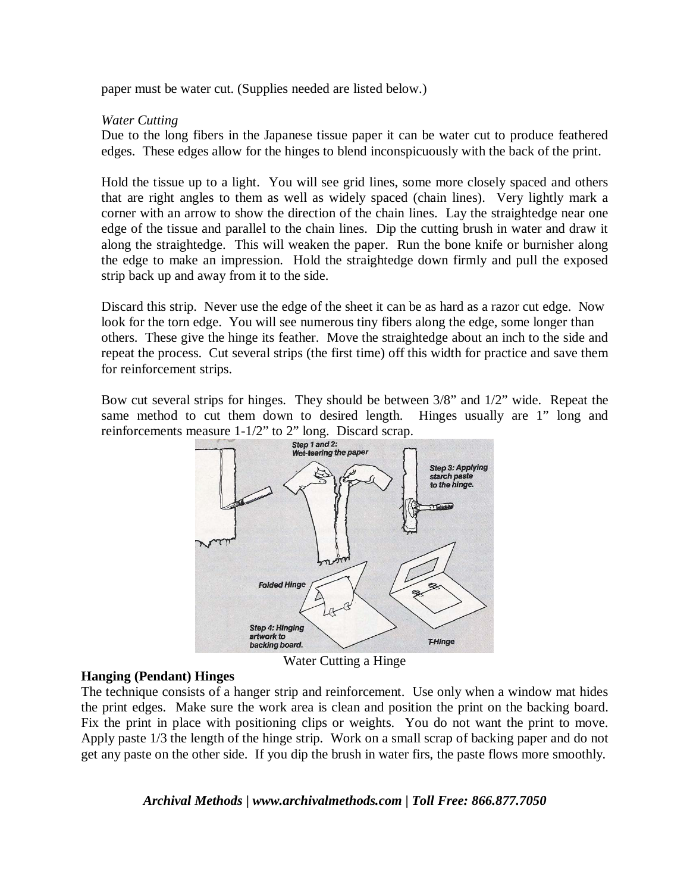paper must be water cut. (Supplies needed are listed below.)

#### *Water Cutting*

Due to the long fibers in the Japanese tissue paper it can be water cut to produce feathered edges. These edges allow for the hinges to blend inconspicuously with the back of the print.

Hold the tissue up to a light. You will see grid lines, some more closely spaced and others that are right angles to them as well as widely spaced (chain lines). Very lightly mark a corner with an arrow to show the direction of the chain lines. Lay the straightedge near one edge of the tissue and parallel to the chain lines. Dip the cutting brush in water and draw it along the straightedge. This will weaken the paper. Run the bone knife or burnisher along the edge to make an impression. Hold the straightedge down firmly and pull the exposed strip back up and away from it to the side.

Discard this strip. Never use the edge of the sheet it can be as hard as a razor cut edge. Now look for the torn edge. You will see numerous tiny fibers along the edge, some longer than others. These give the hinge its feather. Move the straightedge about an inch to the side and repeat the process. Cut several strips (the first time) off this width for practice and save them for reinforcement strips.

Bow cut several strips for hinges. They should be between 3/8" and 1/2" wide. Repeat the same method to cut them down to desired length. Hinges usually are 1" long and reinforcements measure  $1-1/2$ " to 2" long. Discard scrap.<br>Step 1 and 2:



Water Cutting a Hinge

#### **Hanging (Pendant) Hinges**

The technique consists of a hanger strip and reinforcement. Use only when a window mat hides the print edges. Make sure the work area is clean and position the print on the backing board. Fix the print in place with positioning clips or weights. You do not want the print to move. Apply paste 1/3 the length of the hinge strip. Work on a small scrap of backing paper and do not get any paste on the other side. If you dip the brush in water firs, the paste flows more smoothly.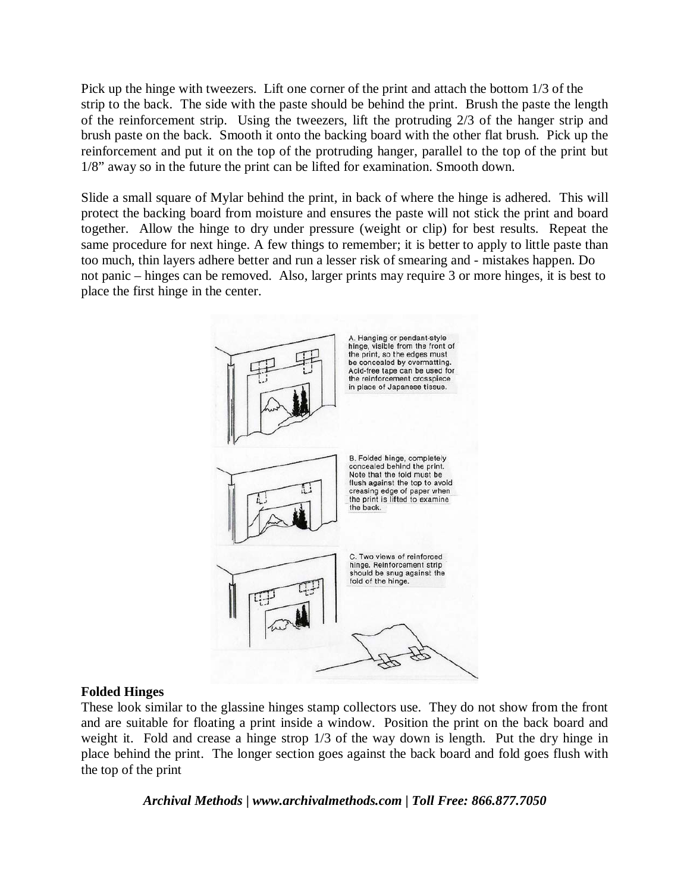Pick up the hinge with tweezers. Lift one corner of the print and attach the bottom 1/3 of the strip to the back. The side with the paste should be behind the print. Brush the paste the length of the reinforcement strip. Using the tweezers, lift the protruding 2/3 of the hanger strip and brush paste on the back. Smooth it onto the backing board with the other flat brush. Pick up the reinforcement and put it on the top of the protruding hanger, parallel to the top of the print but 1/8" away so in the future the print can be lifted for examination. Smooth down.

Slide a small square of Mylar behind the print, in back of where the hinge is adhered. This will protect the backing board from moisture and ensures the paste will not stick the print and board together. Allow the hinge to dry under pressure (weight or clip) for best results. Repeat the same procedure for next hinge. A few things to remember; it is better to apply to little paste than too much, thin layers adhere better and run a lesser risk of smearing and - mistakes happen. Do not panic – hinges can be removed. Also, larger prints may require 3 or more hinges, it is best to place the first hinge in the center.



# **Folded Hinges**

These look similar to the glassine hinges stamp collectors use. They do not show from the front and are suitable for floating a print inside a window. Position the print on the back board and weight it. Fold and crease a hinge strop 1/3 of the way down is length. Put the dry hinge in place behind the print. The longer section goes against the back board and fold goes flush with the top of the print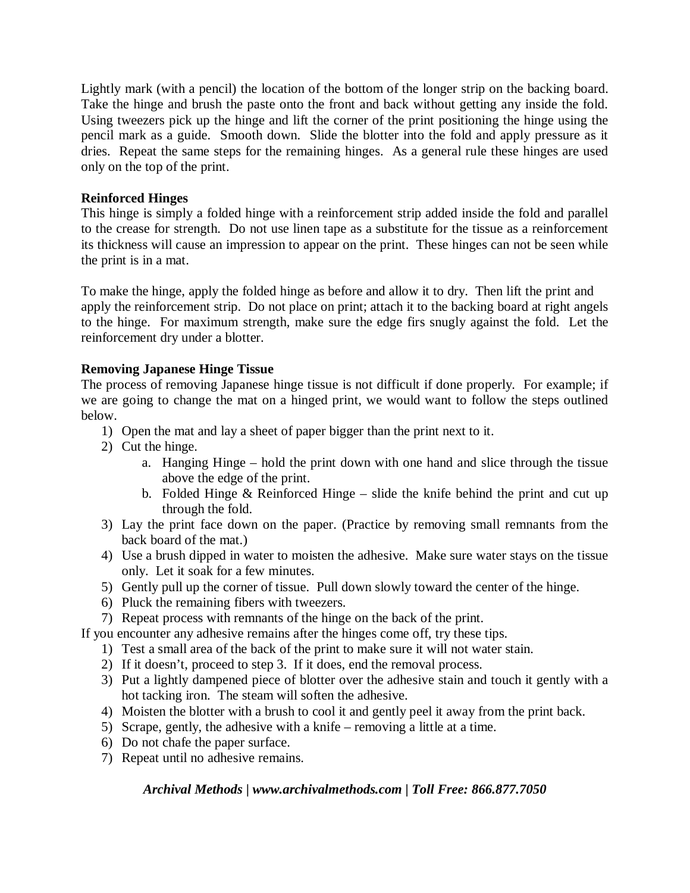Lightly mark (with a pencil) the location of the bottom of the longer strip on the backing board. Take the hinge and brush the paste onto the front and back without getting any inside the fold. Using tweezers pick up the hinge and lift the corner of the print positioning the hinge using the pencil mark as a guide. Smooth down. Slide the blotter into the fold and apply pressure as it dries. Repeat the same steps for the remaining hinges. As a general rule these hinges are used only on the top of the print.

# **Reinforced Hinges**

This hinge is simply a folded hinge with a reinforcement strip added inside the fold and parallel to the crease for strength. Do not use linen tape as a substitute for the tissue as a reinforcement its thickness will cause an impression to appear on the print. These hinges can not be seen while the print is in a mat.

To make the hinge, apply the folded hinge as before and allow it to dry. Then lift the print and apply the reinforcement strip. Do not place on print; attach it to the backing board at right angels to the hinge. For maximum strength, make sure the edge firs snugly against the fold. Let the reinforcement dry under a blotter.

# **Removing Japanese Hinge Tissue**

The process of removing Japanese hinge tissue is not difficult if done properly. For example; if we are going to change the mat on a hinged print, we would want to follow the steps outlined below.

- 1) Open the mat and lay a sheet of paper bigger than the print next to it.
- 2) Cut the hinge.
	- a. Hanging Hinge hold the print down with one hand and slice through the tissue above the edge of the print.
	- b. Folded Hinge & Reinforced Hinge slide the knife behind the print and cut up through the fold.
- 3) Lay the print face down on the paper. (Practice by removing small remnants from the back board of the mat.)
- 4) Use a brush dipped in water to moisten the adhesive. Make sure water stays on the tissue only. Let it soak for a few minutes.
- 5) Gently pull up the corner of tissue. Pull down slowly toward the center of the hinge.
- 6) Pluck the remaining fibers with tweezers.
- 7) Repeat process with remnants of the hinge on the back of the print.

If you encounter any adhesive remains after the hinges come off, try these tips.

- 1) Test a small area of the back of the print to make sure it will not water stain.
- 2) If it doesn't, proceed to step 3. If it does, end the removal process.
- 3) Put a lightly dampened piece of blotter over the adhesive stain and touch it gently with a hot tacking iron. The steam will soften the adhesive.
- 4) Moisten the blotter with a brush to cool it and gently peel it away from the print back.
- 5) Scrape, gently, the adhesive with a knife removing a little at a time.
- 6) Do not chafe the paper surface.
- 7) Repeat until no adhesive remains.